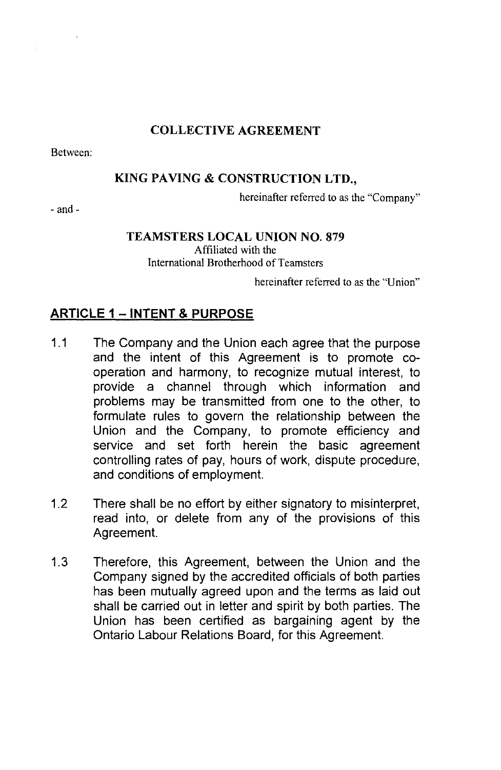### **COLLECTIVE AGREEMENT**

Between:

#### **KING PAVING** & **CONSTRUCTION LTD.,**

hereinafter referred to as the "Company"

- and -

### **TEAMSTERS LOCAL UNION NO. 879**

Affiliated with the International Brotherhood of Teamsters

hereinafter referred to as the "Union"

## **ARTICLE 1 - INTENT & PURPOSE**

- 1.1 The Company and the Union each agree that the purpose and the intent of this Agreement is to promote cooperation and harmony, to recognize mutual interest, to provide a channel through which information and problems may be transmitted from one to the other, to formulate rules to govern the relationship between the Union and the Company, to promote efficiency and service and set forth herein the basic agreement controlling rates of pay, hours of work, dispute procedure, and conditions of employment.
- 1.2 There shall be no effort by either signatory to misinterpret, read into, or delete from any of the provisions of this Agreement.
- 1.3 Therefore, this Agreement, between the Union and the Company signed by the accredited officials of both parties has been mutually agreed upon and the terms as laid out shall be carried out in letter and spirit by both parties. The Union has been certified as bargaining agent by the Ontario Labour Relations Board, for this Agreement.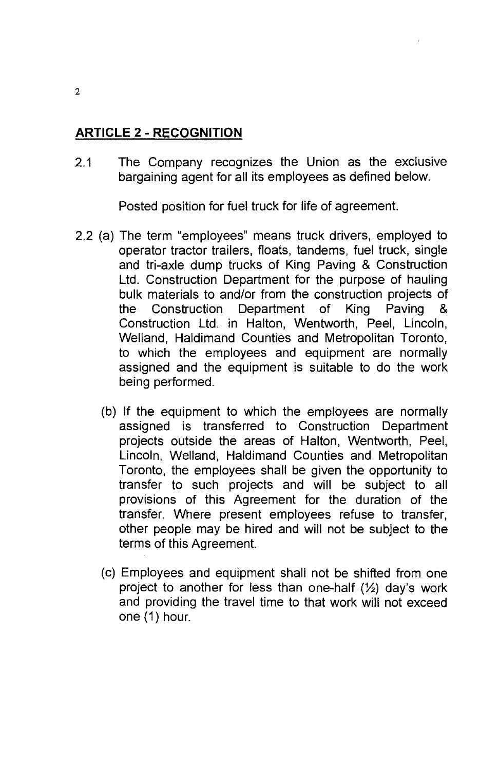## **ARTICLE 2 - RECOGNITION**

2.1 The Company recognizes the Union as the exclusive bargaining agent for all its employees as defined below.

Posted position for fuel truck for life of agreement.

- 2.2 (a) The term "employees" means truck drivers, employed to operator tractor trailers, floats, tandems, fuel truck, single and tri-axle dump trucks of King Paving & Construction Ltd. Construction Department for the purpose of hauling bulk materials to and/or from the construction projects of the Construction Department of King Paving & Construction Ltd. in Halton, Wentworth, Peel, Lincoln, Welland, Haldimand Counties and Metropolitan Toronto, to which the employees and equipment are normally assigned and the equipment is suitable to do the work being performed.
	- (b) If the equipment to which the employees are normally assigned is transferred to Construction Department projects outside the areas of Halton, Wentworth, Peel, Lincoln, Welland, Haldimand Counties and Metropolitan Toronto, the employees shall be given the opportunity to transfer to such projects and will be subject to all provisions of this Agreement for the duration of the transfer. Where present employees refuse to transfer, other people may be hired and will not be subject to the terms of this Agreement.
	- (c) Employees and equipment shall not be shifted from one project to another for less than one-half (½) day's work and providing the travel time to that work will not exceed one (1) hour.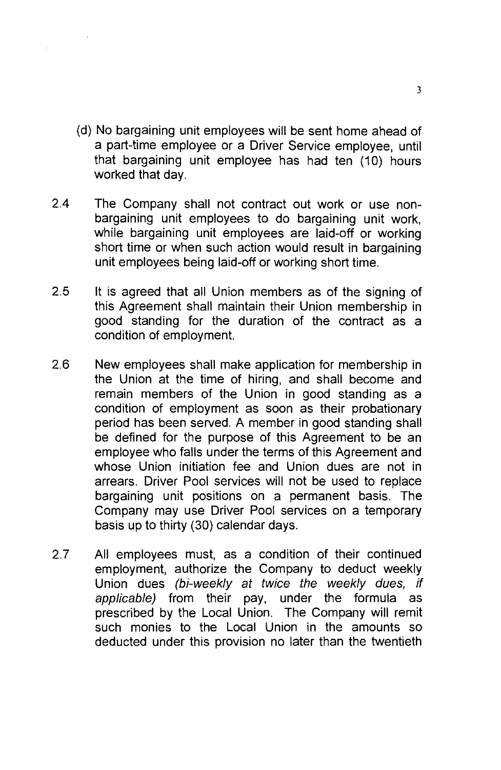- (d) No bargaining unit employees will be sent home ahead of a part-time employee or a Driver Service employee, until that bargaining unit employee has had ten (10) hours worked that day.
- 2.4 The Company shall not contract out work or use nonbargaining unit employees to do bargaining unit work, while bargaining unit employees are laid-off or working short time or when such action would result in bargaining unit employees being laid-off or working short time.
- 2.5 It is agreed that all Union members as of the signing of this Agreement shall maintain their Union membership in good standing for the duration of the contract as a condition of employment.
- 2.6 New employees shall make application for membership in the Union at the time of hiring, and shall become and remain members of the Union in good standing as a condition of employment as soon as their probationary period has been served. A member in good standing shall be defined for the purpose of this Agreement to be an employee who falls under the terms of this Agreement and whose Union initiation fee and Union dues are not in arrears. Driver Pool services will not be used to replace bargaining unit positions on a permanent basis. The Company may use Driver Pool services on a temporary basis up to thirty (30) calendar days.
- 2.7 All employees must, as a condition of their continued employment, authorize the Company to deduct weekly Union dues (bi-weekly at twice the weekly dues, if applicable) from their pay, under the formula as prescribed by the Local Union. The Company will remit such monies to the Local Union in the amounts so deducted under this provision no later than the twentieth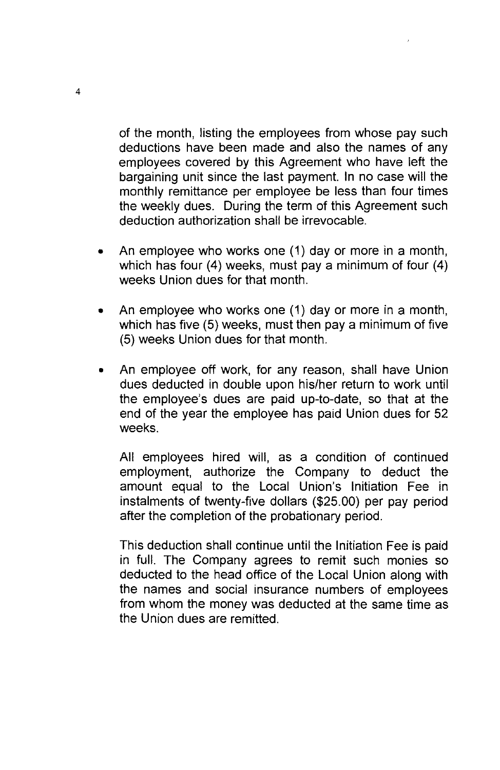of the month, listing the employees from whose pay such deductions have been made and also the names of any employees covered by this Agreement who have left the bargaining unit since the last payment. In no case will the monthly remittance per employee be less than four times the weekly dues. During the term of this Agreement such deduction authorization shall be irrevocable.

- An employee who works one (1) day or more in a month, which has four (4) weeks, must pay a minimum of four (4) weeks Union dues for that month.
- An employee who works one (1) day or more in a month, which has five (5) weeks, must then pay a minimum of five (5) weeks Union dues for that month.
- An employee off work, for any reason, shall have Union dues deducted in double upon his/her return to work until the employee's dues are paid up-to-date, so that at the end of the year the employee has paid Union dues for 52 weeks.

All employees hired will, as a condition of continued employment, authorize the Company to deduct the amount equal to the Local Union's Initiation Fee in instalments of twenty-five dollars (\$25.00) per pay period after the completion of the probationary period.

This deduction shall continue until the Initiation Fee is paid in full. The Company agrees to remit such monies so deducted to the head office of the Local Union along with the names and social insurance numbers of employees from whom the money was deducted at the same time as the Union dues are remitted.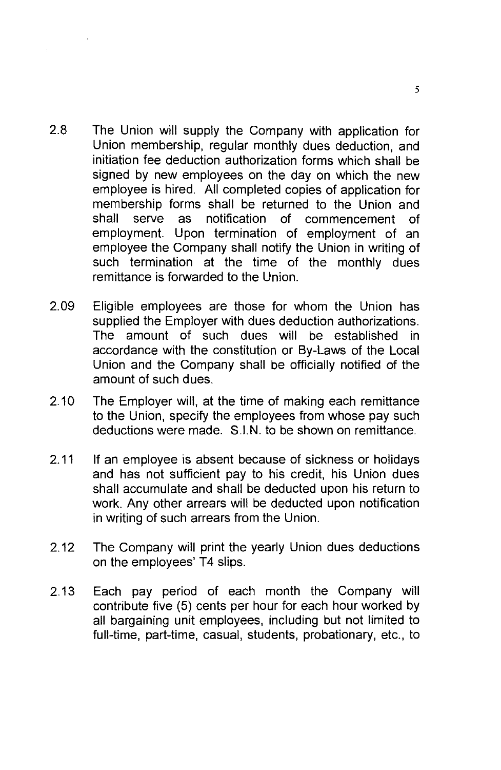- 2.8 The Union will supply the Company with application for Union membership, regular monthly dues deduction, and initiation fee deduction authorization forms which shall be signed by new employees on the day on which the new employee is hired. All completed copies of application for membership forms shall be returned to the Union and<br>shall serve as notification of commencement of shall serve as notification of commencement of employment. Upon termination of employment of an employee the Company shall notify the Union in writing of such termination at the time of the monthly dues remittance is forwarded to the Union.
- 2.09 Eligible employees are those for whom the Union has supplied the Employer with dues deduction authorizations. The amount of such dues will be established in accordance with the constitution or By-Laws of the Local Union and the Company shall be officially notified of the amount of such dues.
- 2.10 The Employer will, at the time of making each remittance to the Union, specify the employees from whose pay such deductions were made. 8.1.N. to be shown on remittance.
- 2.11 If an employee is absent because of sickness or holidays and has not sufficient pay to his credit, his Union dues shall accumulate and shall be deducted upon his return to work. Any other arrears will be deducted upon notification in writing of such arrears from the Union.
- 2.12 The Company will print the yearly Union dues deductions on the employees' T4 slips.
- 2.13 Each pay period of each month the Company will contribute five (5) cents per hour for each hour worked by all bargaining unit employees, including but not limited to full-time, part-time, casual, students, probationary, etc., to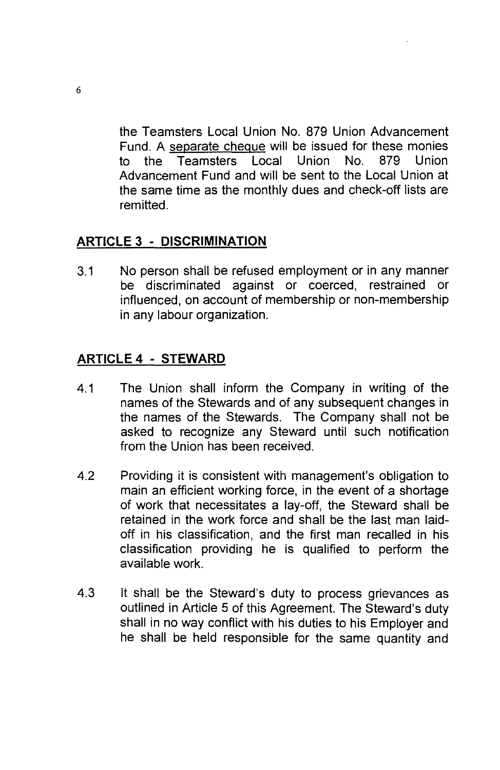the Teamsters Local Union No. 879 Union Advancement Fund. A separate cheque will be issued for these monies to the Teamsters Local Union No. 879 Union Advancement Fund and will be sent to the Local Union at the same time as the monthly dues and check-off lists are remitted.

## **ARTICLE 3** - **DISCRIMINATION**

3.1 No person shall be refused employment or in any manner be discriminated against or coerced, restrained or influenced, on account of membership or non-membership in any labour organization.

## **ARTICLE 4 - STEWARD**

- 4.1 The Union shall inform the Company in writing of the names of the Stewards and of any subsequent changes in the names of the Stewards. The Company shall not be asked to recognize any Steward until such notification from the Union has been received.
- 4.2 Providing it is consistent with management's obligation to main an efficient working force, in the event of a shortage of work that necessitates a lay-off, the Steward shall be retained in the work force and shall be the last man laidoff in his classification, and the first man recalled in his classification providing he is qualified to perform the available work.
- 4.3 It shall be the Steward's duty to process grievances as outlined in Article 5 of this Agreement. The Steward's duty shall in no way conflict with his duties to his Employer and he shall be held responsible for the same quantity and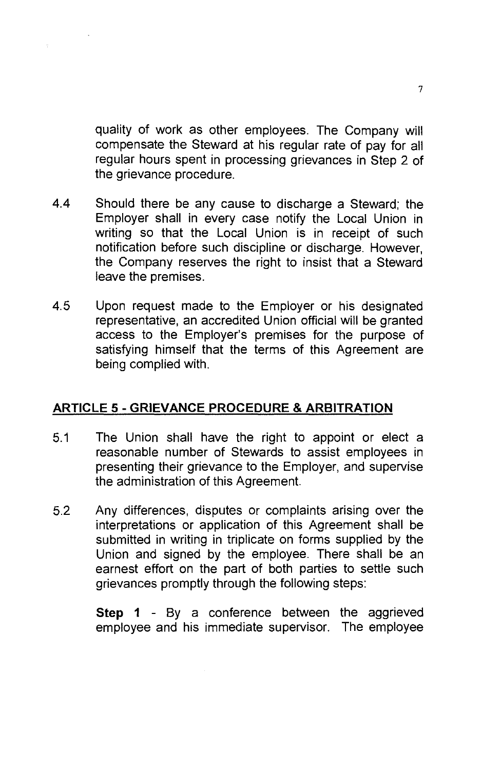quality of work as other employees. The Company will compensate the Steward at his regular rate of pay for all regular hours spent in processing grievances in Step 2 of the grievance procedure.

- 4.4 Should there be any cause to discharge a Steward; the Employer shall in every case notify the Local Union in writing so that the Local Union is in receipt of such notification before such discipline or discharge. However, the Company reserves the right to insist that a Steward leave the premises.
- 4.5 Upon request made to the Employer or his designated representative, an accredited Union official will be granted access to the Employer's premises for the purpose of satisfying himself that the terms of this Agreement are being complied with.

## **ARTICLE 5 - GRIEVANCE PROCEDURE & ARBITRATION**

- 5.1 The Union shall have the right to appoint or elect a reasonable number of Stewards to assist employees in presenting their grievance to the Employer, and supervise the administration of this Agreement.
- 5.2 Any differences, disputes or complaints arising over the interpretations or application of this Agreement shall be submitted in writing in triplicate on forms supplied by the Union and signed by the employee. There shall be an earnest effort on the part of both parties to settle such grievances promptly through the following steps:

**Step 1** - By a conference between the aggrieved employee and his immediate supervisor. The employee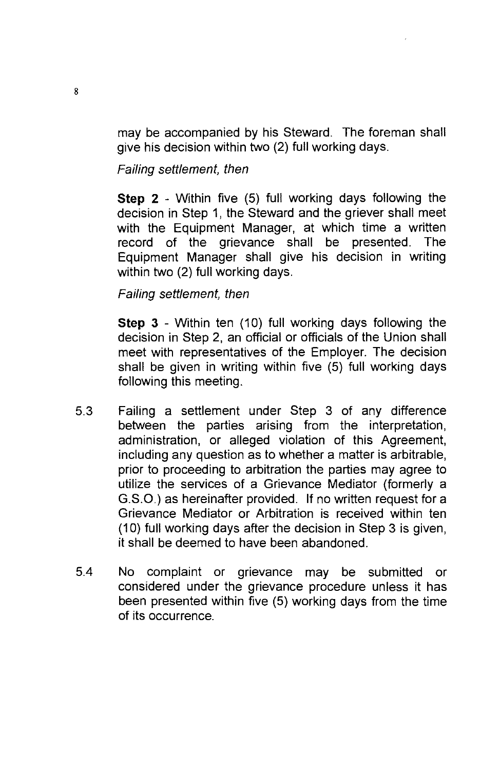may be accompanied by his Steward. The foreman shall give his decision within two (2) full working days.

### Failing settlement, then

**Step 2** - Within five (5) full working days following the decision in Step 1, the Steward and the griever shall meet with the Equipment Manager, at which time a written record of the grievance shall be presented. The Equipment Manager shall give his decision in writing within two (2) full working days.

Failing settlement, then

**Step 3** - Within ten (10) full working days following the decision in Step 2, an official or officials of the Union shall meet with representatives of the Employer. The decision shall be given in writing within five (5) full working days following this meeting.

- 5.3 Failing a settlement under Step 3 of any difference between the parties arising from the interpretation, administration, or alleged violation of this Agreement, including any question as to whether a matter is arbitrable, prior to proceeding to arbitration the parties may agree to utilize the services of a Grievance Mediator (formerly a G.S.O.) as hereinafter provided. If no written request for a Grievance Mediator or Arbitration is received within ten (10) full working days after the decision in Step 3 is given, it shall be deemed to have been abandoned.
- 5.4 No complaint or grievance may be submitted or considered under the grievance procedure unless it has been presented within five (5) working days from the time of its occurrence.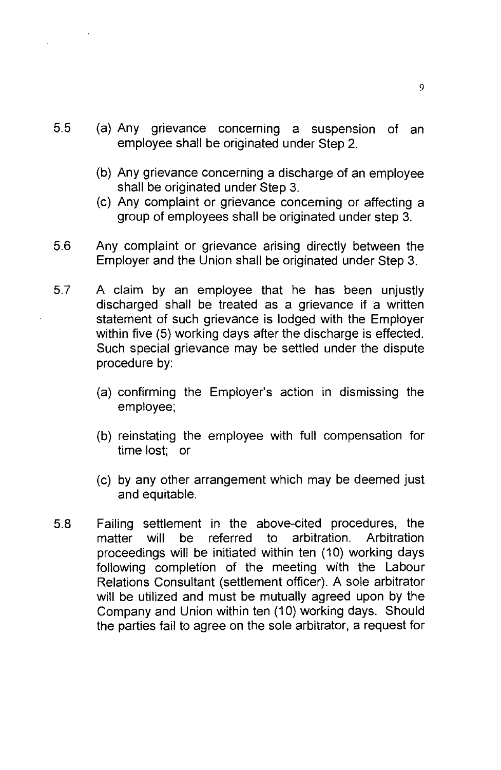- 5.5 (a) Any grievance concerning a suspension of an employee shall be originated under Step 2.
	- (b) Any grievance concerning a discharge of an employee shall be originated under Step 3.
	- (c) Any complaint or grievance concerning or affecting a group of employees shall be originated under step 3.
- 5.6 Any complaint or grievance arising directly between the Employer and the Union shall be originated under Step 3.
- 5.7 A claim by an employee that he has been unjustly discharged shall be treated as a grievance if a written statement of such grievance is lodged with the Employer within five (5) working days after the discharge is effected. Such special grievance may be settled under the dispute procedure by:
	- (a) confirming the Employer's action in dismissing the employee;
	- (b) reinstating the employee with full compensation for time lost; or
	- (c) by any other arrangement which may be deemed just and equitable.
- 5.8 Failing settlement in the above-cited procedures, the matter will be referred to arbitration. Arbitration proceedings will be initiated within ten (10) working days following completion of the meeting with the Labour Relations Consultant (settlement officer). A sole arbitrator will be utilized and must be mutually agreed upon by the Company and Union within ten (10) working days. Should the parties fail to agree on the sole arbitrator, a request for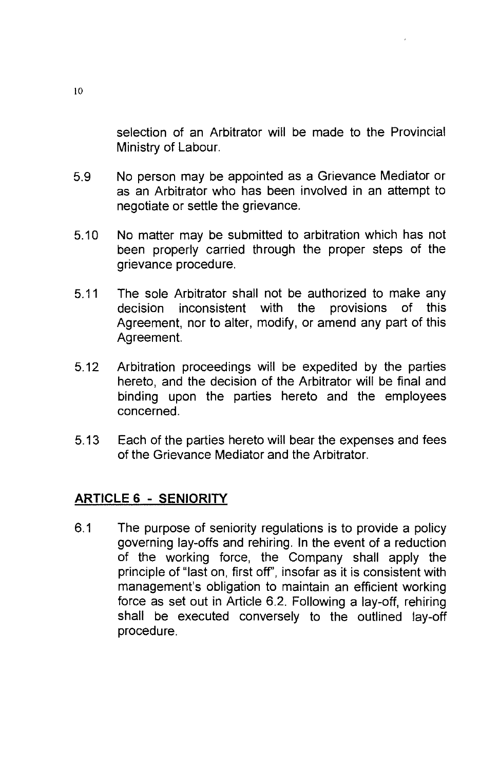selection of an Arbitrator will be made to the Provincial Ministry of Labour.

- 5.9 No person may be appointed as a Grievance Mediator or as an Arbitrator who has been involved in an attempt to negotiate or settle the grievance.
- 5.10 No matter may be submitted to arbitration which has not been properly carried through the proper steps of the grievance procedure.
- 5.11 The sole Arbitrator shall not be authorized to make any decision inconsistent with the provisions of this Agreement, nor to alter, modify, or amend any part of this Agreement.
- 5.12 Arbitration proceedings will be expedited by the parties hereto, and the decision of the Arbitrator will be final and binding upon the parties hereto and the employees concerned.
- 5.13 Each of the parties hereto will bear the expenses and fees of the Grievance Mediator and the Arbitrator.

# **ARTICLE 6** - **SENIORITY**

6.1 The purpose of seniority regulations is to provide a policy governing lay-offs and rehiring. In the event of a reduction of the working force, the Company shall apply the principle of "last on, first off', insofar as it is consistent with management's obligation to maintain an efficient working force as set out in Article 6.2. Following a lay-off, rehiring shall be executed conversely to the outlined lay-off procedure.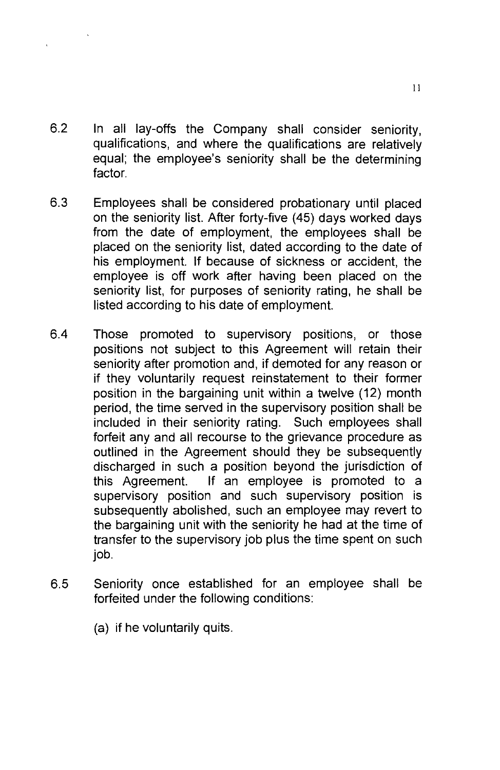- 6.2 In all lay-offs the Company shall consider seniority, qualifications, and where the qualifications are relatively equal; the employee's seniority shall be the determining factor.
- 6.3 Employees shall be considered probationary until placed on the seniority list. After forty-five (45) days worked days from the date of employment, the employees shall be placed on the seniority list, dated according to the date of his employment. If because of sickness or accident, the employee is off work after having been placed on the seniority list, for purposes of seniority rating, he shall be listed according to his date of employment.
- 6.4 Those promoted to supervisory positions, or those positions not subject to this Agreement will retain their seniority after promotion and, if demoted for any reason or if they voluntarily request reinstatement to their former position in the bargaining unit within a twelve (12) month period, the time served in the supervisory position shall be included in their seniority rating. Such employees shall forfeit any and all recourse to the grievance procedure as outlined in the Agreement should they be subsequently discharged in such a position beyond the jurisdiction of this Agreement. If an employee is promoted to a supervisory position and such supervisory position is subsequently abolished, such an employee may revert to the bargaining unit with the seniority he had at the time of transfer to the supervisory job plus the time spent on such job.
- 6.5 Seniority once established for an employee shall be forfeited under the following conditions:
	- (a} if he voluntarily quits.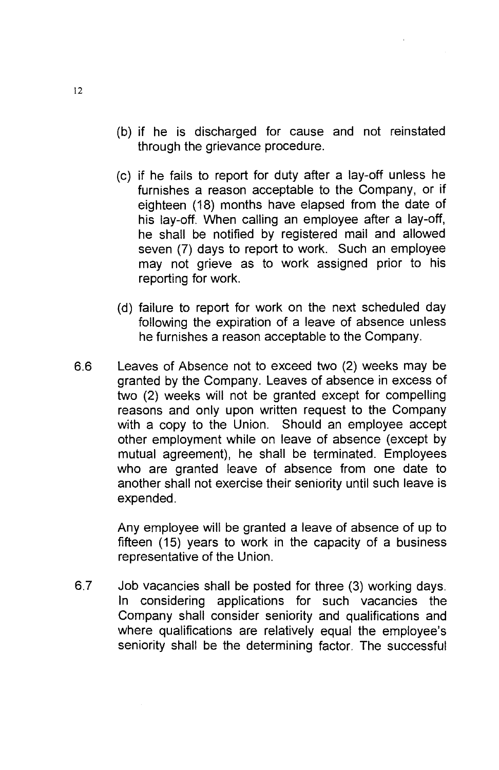- (b) if he is discharged for cause and not reinstated through the grievance procedure.
- (c) if he fails to report for duty after a lay-off unless he furnishes a reason acceptable to the Company, or if eighteen (18) months have elapsed from the date of his lay-off. When calling an employee after a lay-off, he shall be notified by registered mail and allowed seven (7) days to report to work. Such an employee may not grieve as to work assigned prior to his reporting for work.
- (d) failure to report for work on the next scheduled day following the expiration of a leave of absence unless he furnishes a reason acceptable to the Company.
- 6.6 Leaves of Absence not to exceed two (2) weeks may be granted by the Company. Leaves of absence in excess of two (2) weeks will not be granted except for compelling reasons and only upon written request to the Company with a copy to the Union. Should an employee accept other employment while on leave of absence (except by mutual agreement), he shall be terminated. Employees who are granted leave of absence from one date to another shall not exercise their seniority until such leave is expended.

Any employee will be granted a leave of absence of up to fifteen (15) years to work in the capacity of a business representative of the Union.

6.7 Job vacancies shall be posted for three (3) working days. In considering applications for such vacancies the Company shall consider seniority and qualifications and where qualifications are relatively equal the employee's seniority shall be the determining factor. The successful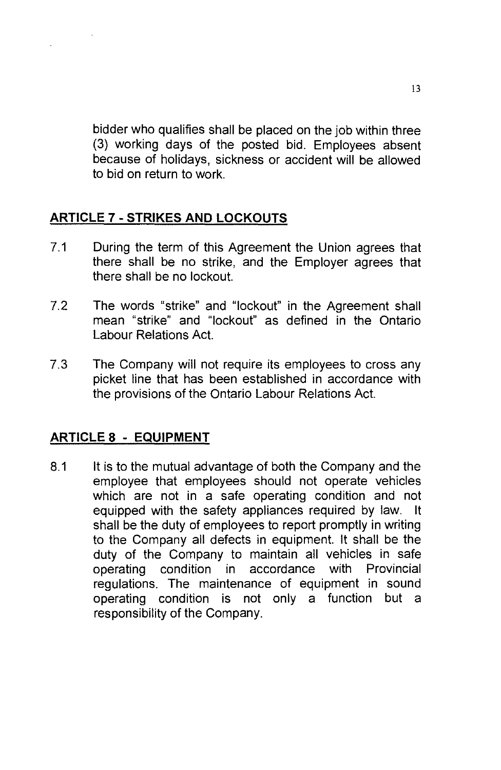bidder who qualifies shall be placed on the job within three (3) working days of the posted bid. Employees absent because of holidays, sickness or accident will be allowed to bid on return to work.

## **ARTICLE 7 - STRIKES AND LOCKOUTS**

- 7 .1 During the term of this Agreement the Union agrees that there shall be no strike, and the Employer agrees that there shall be no lockout.
- 7.2 The words "strike" and "lockout" in the Agreement shall mean "strike" and "lockout" as defined in the Ontario Labour Relations Act.
- 7.3 The Company will not require its employees to cross any picket line that has been established in accordance with the provisions of the Ontario Labour Relations Act.

## **ARTICLE 8 - EQUIPMENT**

8.1 It is to the mutual advantage of both the Company and the employee that employees should not operate vehicles which are not in a safe operating condition and not equipped with the safety appliances required by law. It shall be the duty of employees to report promptly in writing to the Company all defects in equipment. It shall be the duty of the Company to maintain all vehicles in safe operating condition in accordance with Provincial regulations. The maintenance of equipment in sound operating condition is not only a function but a responsibility of the Company.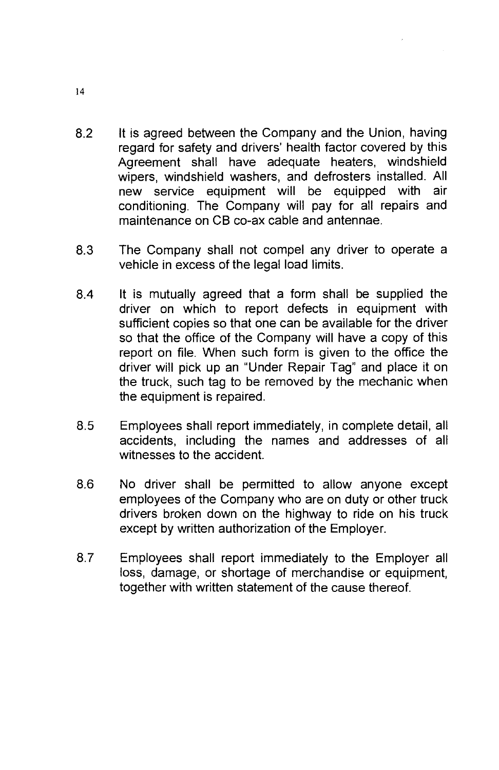- 8.2 It is agreed between the Company and the Union, having regard for safety and drivers' health factor covered by this Agreement shall have adequate heaters, windshield wipers, windshield washers, and defrosters installed. All new service equipment will be equipped with air conditioning. The Company will pay for all repairs and maintenance on CB co-ax cable and antennae.
- 8.3 The Company shall not compel any driver to operate a vehicle in excess of the legal load limits.
- 8.4 It is mutually agreed that a form shall be supplied the driver on which to report defects in equipment with sufficient copies so that one can be available for the driver so that the office of the Company will have a copy of this report on file. When such form is given to the office the driver will pick up an "Under Repair Tag" and place it on the truck, such tag to be removed by the mechanic when the equipment is repaired.
- 8.5 Employees shall report immediately, in complete detail, all accidents, including the names and addresses of all witnesses to the accident.
- 8.6 No driver shall be permitted to allow anyone except employees of the Company who are on duty or other truck drivers broken down on the highway to ride on his truck except by written authorization of the Employer.
- 8.7 Employees shall report immediately to the Employer all loss, damage, or shortage of merchandise or equipment, together with written statement of the cause thereof.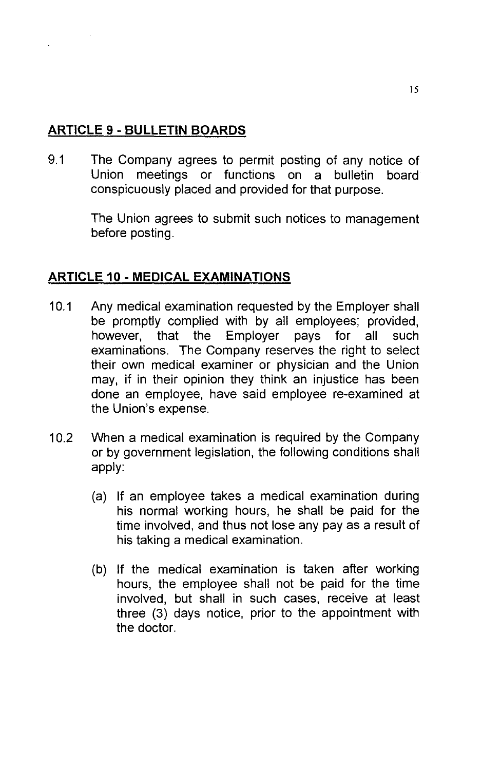## **ARTICLE 9 - BULLETIN BOARDS**

9.1 The Company agrees to permit posting of any notice of Union meetings or functions on a bulletin board conspicuously placed and provided for that purpose.

> The Union agrees to submit such notices to management before posting.

## **ARTICLE 10 - MEDICAL EXAMINATIONS**

- 10.1 Any medical examination requested by the Employer shall be promptly complied with by all employees; provided, however, that the Employer pays for all such however, that the Employer pays for all such examinations. The Company reserves the right to select their own medical examiner or physician and the Union may, if in their opinion they think an injustice has been done an employee, have said employee re-examined at the Union's expense.
- 10.2 When a medical examination is required by the Company or by government legislation, the following conditions shall apply:
	- (a) If an employee takes a medical examination during his normal working hours, he shall be paid for the time involved, and thus not lose any pay as a result of his taking a medical examination.
	- (b) If the medical examination is taken after working hours, the employee shall not be paid for the time involved, but shall in such cases, receive at least three (3) days notice, prior to the appointment with the doctor.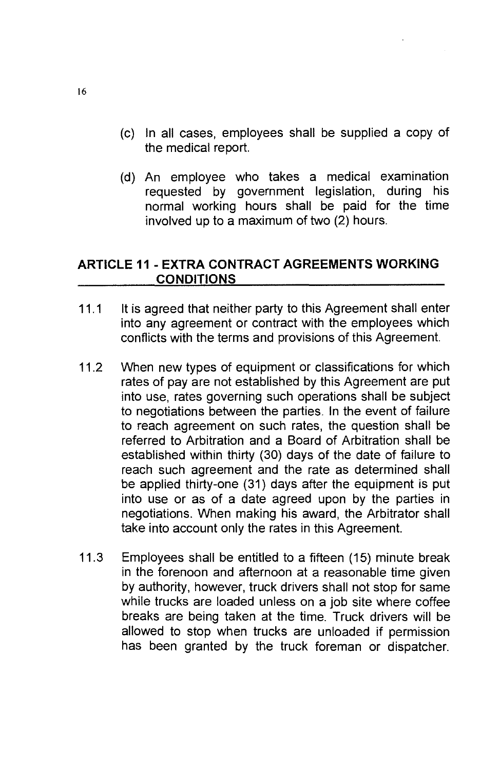- (c) In all cases, employees shall be supplied a copy of the medical report.
- (d) An employee who takes a medical examination requested by government legislation, during his normal working hours shall be paid for the time involved up to a maximum of two (2) hours.

### **ARTICLE 11 - EXTRA CONTRACT AGREEMENTS WORKING CONDITIONS**

- 11.1 It is agreed that neither party to this Agreement shall enter into any agreement or contract with the employees which conflicts with the terms and provisions of this Agreement.
- 11.2 When new types of equipment or classifications for which rates of pay are not established by this Agreement are put into use, rates governing such operations shall be subject to negotiations between the parties. In the event of failure to reach agreement on such rates, the question shall be referred to Arbitration and a Board of Arbitration shall be established within thirty (30) days of the date of failure to reach such agreement and the rate as determined shall be applied thirty-one (31) days after the equipment is put into use or as of a date agreed upon by the parties in negotiations. When making his award, the Arbitrator shall take into account only the rates in this Agreement.
- 11.3 Employees shall be entitled to a fifteen (15) minute break in the forenoon and afternoon at a reasonable time given by authority, however, truck drivers shall not stop for same while trucks are loaded unless on a job site where coffee breaks are being taken at the time. Truck drivers will be allowed to stop when trucks are unloaded if permission has been granted by the truck foreman or dispatcher.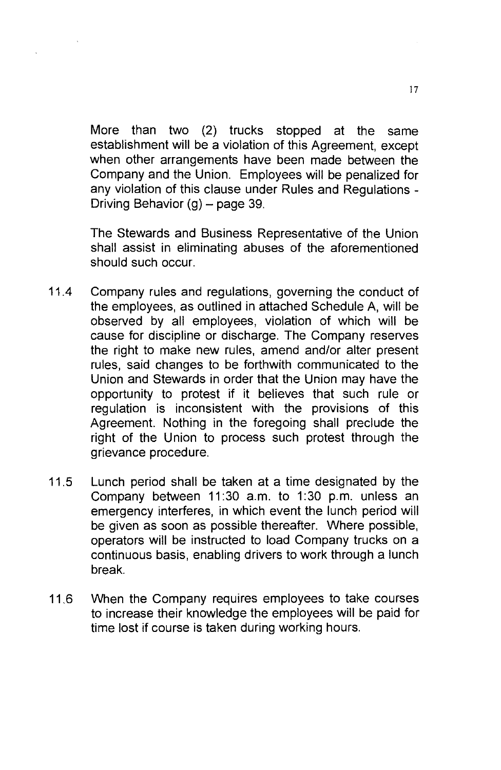More than two (2) trucks stopped at the same establishment will be a violation of this Agreement, except when other arrangements have been made between the Company and the Union. Employees will be penalized for any violation of this clause under Rules and Regulations - Driving Behavior  $(q)$  - page 39.

The Stewards and Business Representative of the Union shall assist in eliminating abuses of the aforementioned should such occur.

- 11.4 Company rules and regulations, governing the conduct of the employees, as outlined in attached Schedule A, will be observed by all employees, violation of which will be cause for discipline or discharge. The Company reserves the right to make new rules, amend and/or alter present rules, said changes to be forthwith communicated to the Union and Stewards in order that the Union may have the opportunity to protest if it believes that such rule or regulation is inconsistent with the provisions of this Agreement. Nothing in the foregoing shall preclude the right of the Union to process such protest through the grievance procedure.
- 11.5 Lunch period shall be taken at a time designated by the Company between 11:30 a.m. to 1:30 p.m. unless an emergency interferes, in which event the lunch period will be given as soon as possible thereafter. Where possible, operators will be instructed to load Company trucks on a continuous basis, enabling drivers to work through a lunch break.
- 11.6 When the Company requires employees to take courses to increase their knowledge the employees will be paid for time lost if course is taken during working hours.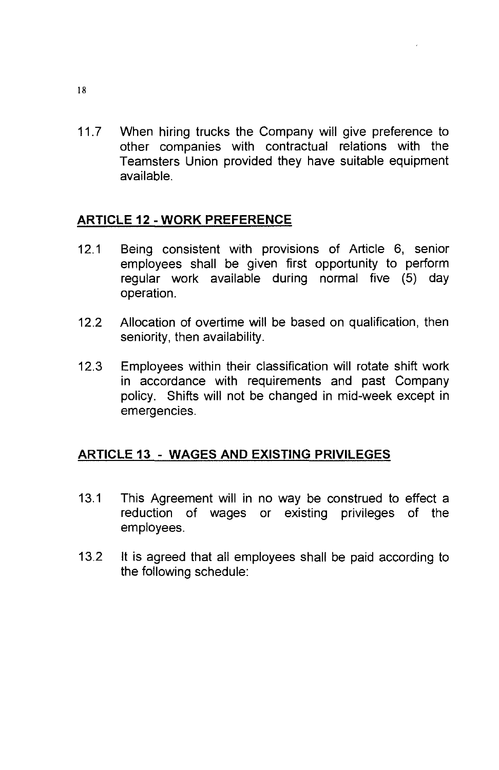11.7 When hiring trucks the Company will give preference to other companies with contractual relations with the Teamsters Union provided they have suitable equipment available.

## **ARTICLE 12 -WORK PREFERENCE**

- 12.1 Being consistent with provisions of Article 6, senior employees shall be given first opportunity to perform regular work available during normal five (5) day operation.
- 12.2 Allocation of overtime will be based on qualification, then seniority, then availability.
- 12.3 Employees within their classification will rotate shift work in accordance with requirements and past Company policy. Shifts will not be changed in mid-week except in emergencies.

# **ARTICLE 13 - WAGES AND EXISTING PRIVILEGES**

- 13.1 This Agreement will in no way be construed to effect a reduction of wages or existing privileges of the employees.
- 13.2 It is agreed that all employees shall be paid according to the following schedule:

18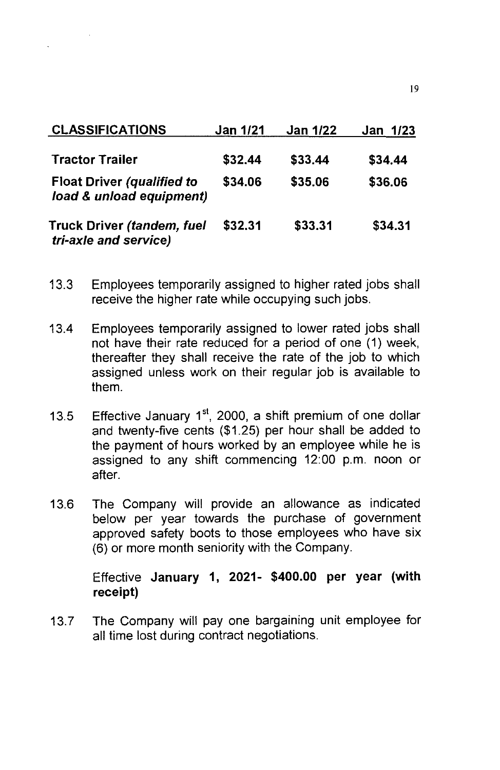| <b>CLASSIFICATIONS</b>                                        | <b>Jan 1/21</b> | Jan 1/22 | Jan 1/23 |
|---------------------------------------------------------------|-----------------|----------|----------|
| <b>Tractor Trailer</b>                                        | \$32.44         | \$33.44  | \$34.44  |
| <b>Float Driver (qualified to</b><br>load & unload equipment) | \$34.06         | \$35.06  | \$36.06  |
| Truck Driver (tandem, fuel<br>tri-axle and service)           | \$32.31         | \$33.31  | \$34.31  |

- 13.3 Employees temporarily assigned to higher rated jobs shall receive the higher rate while occupying such jobs.
- 13.4 Employees temporarily assigned to lower rated jobs shall not have their rate reduced for a period of one (1) week, thereafter they shall receive the rate of the job to which assigned unless work on their regular job is available to them.
- 13.5 Effective January  $1<sup>st</sup>$ , 2000, a shift premium of one dollar and twenty-five cents (\$1.25) per hour shall be added to the payment of hours worked by an employee while he is assigned to any shift commencing 12:00 p.m. noon or after.
- 13.6 The Company will provide an allowance as indicated below per year towards the purchase of government approved safety boots to those employees who have six (6) or more month seniority with the Company.

Effective **January 1, 2021- \$400.00 per year (with receipt)** 

13.7 The Company will pay one bargaining unit employee for all time lost during contract negotiations.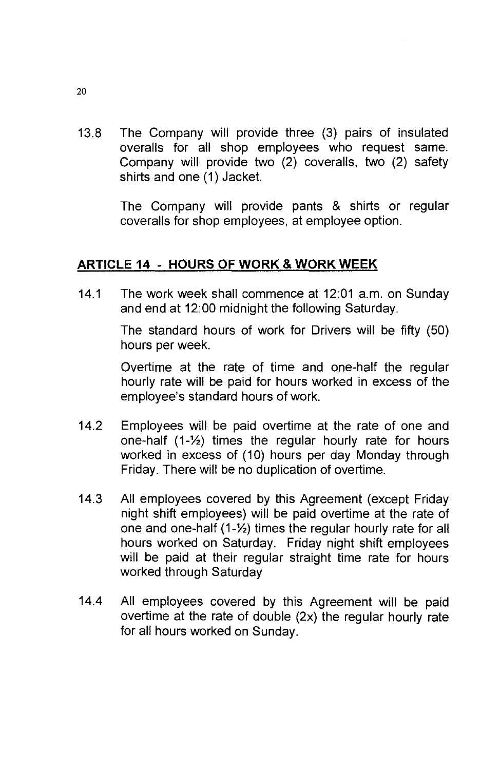13.8 The Company will provide three (3) pairs of insulated overalls for all shop employees who request same. Company will provide two (2) coveralls, two (2) safety shirts and one (1) Jacket.

> The Company will provide pants & shirts or regular coveralls for shop employees, at employee option.

### **ARTICLE 14 - HOURS OF WORK & WORK WEEK**

14.1 The work week shall commence at 12:01 a.m. on Sunday and end at 12:00 midnight the following Saturday.

> The standard hours of work for Drivers will be fifty (50) hours per week.

> Overtime at the rate of time and one-half the regular hourly rate will be paid for hours worked in excess of the employee's standard hours of work.

- 14.2 Employees will be paid overtime at the rate of one and one-half (1-½) times the regular hourly rate for hours worked in excess of (10) hours per day Monday through Friday. There will be no duplication of overtime.
- 14.3 All employees covered by this Agreement (except Friday night shift employees) will be paid overtime at the rate of one and one-half (1-½) times the regular hourly rate for all hours worked on Saturday. Friday night shift employees will be paid at their regular straight time rate for hours worked through Saturday
- 14.4 All employees covered by this Agreement will be paid overtime at the rate of double (2x) the regular hourly rate for all hours worked on Sunday.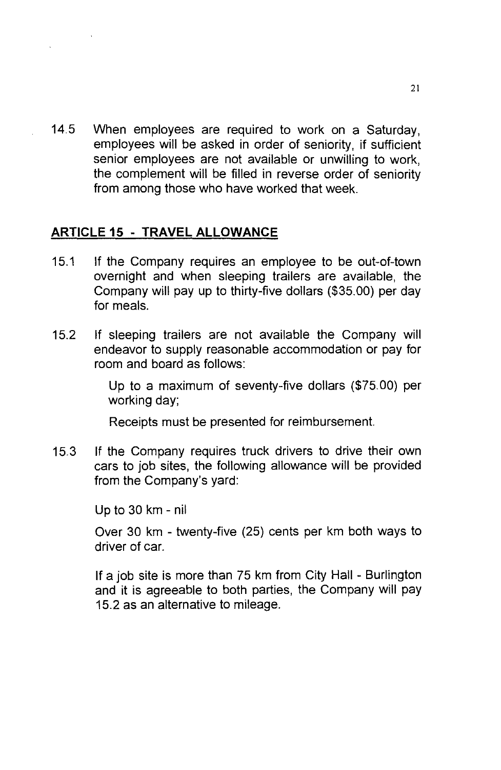14.5 When employees are required to work on a Saturday, employees will be asked in order of seniority, if sufficient senior employees are not available or unwilling to work, the complement will be filled in reverse order of seniority from among those who have worked that week.

### **ARTICLE 15 - TRAVEL ALLOWANCE**

- 15.1 If the Company requires an employee to be out-of-town overnight and when sleeping trailers are available, the Company will pay up to thirty-five dollars (\$35.00) per day for meals.
- 15.2 If sleeping trailers are not available the Company will endeavor to supply reasonable accommodation or pay for room and board as follows:

Up to a maximum of seventy-five dollars (\$75.00) per working day;

Receipts must be presented for reimbursement.

15.3 If the Company requires truck drivers to drive their own cars to job sites, the following allowance will be provided from the Company's yard:

Up to 30 km - nil

Over 30 km - twenty-five (25) cents per km both ways to driver of car.

If a job site is more than 75 km from City Hall - Burlington and it is agreeable to both parties, the Company will pay 15.2 as an alternative to mileage.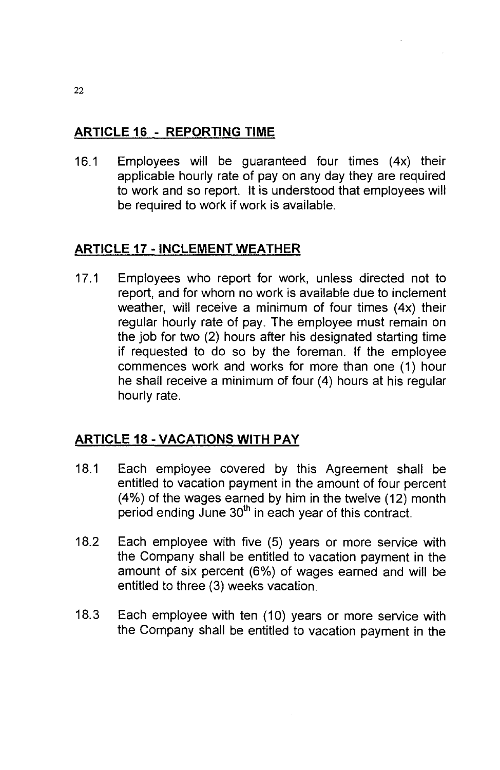## **ARTICLE 16 - REPORTING TIME**

16.1 Employees will be quaranteed four times (4x) their applicable hourly rate of pay on any day they are required to work and so report. It is understood that employees will be required to work if work is available.

## **ARTICLE 17 - INCLEMENT WEATHER**

17 .1 Employees who report for work, unless directed not to report, and for whom no work is available due to inclement weather, will receive a minimum of four times (4x) their regular hourly rate of pay. The employee must remain on the job for two (2) hours after his designated starting time if requested to do so by the foreman. If the employee commences work and works for more than one ( 1) hour he shall receive a minimum of four (4) hours at his regular hourly rate.

## **ARTICLE 18 - VACATIONS WITH PAY**

- 18.1 Each employee covered by this Agreement shall be entitled to vacation payment in the amount of four percent (4%) of the wages earned by him in the twelve (12) month period ending June  $30<sup>th</sup>$  in each year of this contract.
- 18.2 Each employee with five (5) years or more service with the Company shall be entitled to vacation payment in the amount of six percent (6%) of wages earned and will be entitled to three (3) weeks vacation.
- 18.3 Each employee with ten (10) years or more service with the Company shall be entitled to vacation payment in the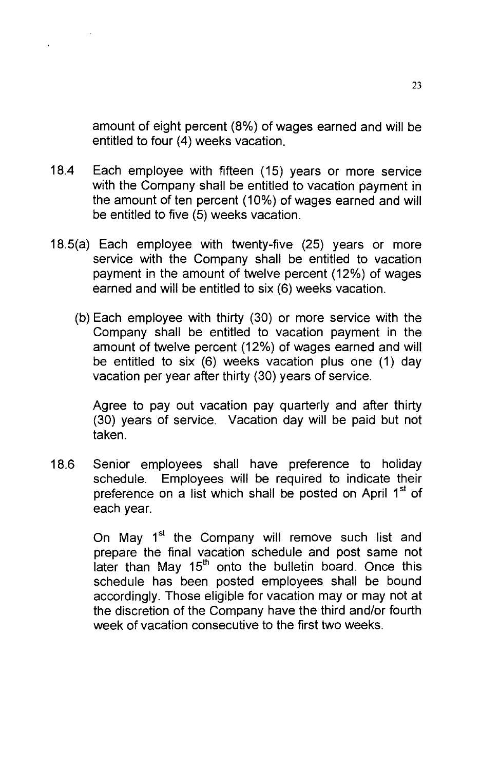amount of eight percent (8%) of wages earned and will be entitled to four (4) weeks vacation.

- 18.4 Each employee with fifteen ( 15) years or more service with the Company shall be entitled to vacation payment in the amount of ten percent (10%) of wages earned and will be entitled to five (5) weeks vacation.
- 18.S(a) Each employee with twenty-five (25) years or more service with the Company shall be entitled to vacation payment in the amount of twelve percent (12%) of wages earned and will be entitled to six (6) weeks vacation.
	- (b) Each employee with thirty (30) or more service with the Company shall be entitled to vacation payment in the amount of twelve percent (12%) of wages earned and will be entitled to six (6) weeks vacation plus one (1) day vacation per year after thirty (30) years of service.

Agree to pay out vacation pay quarterly and after thirty (30) years of service. Vacation day will be paid but not taken.

18.6 Senior employees shall have preference to holiday schedule. Employees will be required to indicate their preference on a list which shall be posted on April 1<sup>st</sup> of each year.

> On May 1<sup>st</sup> the Company will remove such list and prepare the final vacation schedule and post same not later than May 15<sup>th</sup> onto the bulletin board. Once this schedule has been posted employees shall be bound accordingly. Those eligible for vacation may or may not at the discretion of the Company have the third and/or fourth week of vacation consecutive to the first two weeks.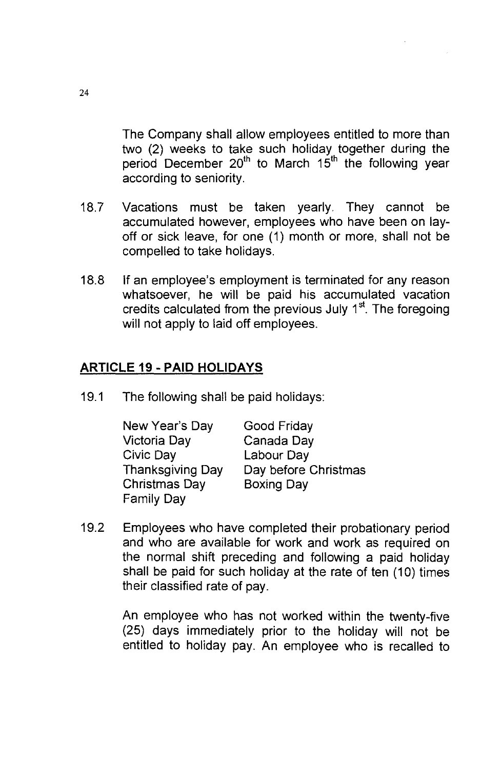The Company shall allow employees entitled to more than two (2) weeks to take such holiday together during the period December 20<sup>th</sup> to March 15<sup>th</sup> the following year according to seniority.

- 18.7 Vacations must be taken yearly. They cannot be accumulated however, employees who have been on layoff or sick leave, for one (1) month or more, shall not be compelled to take holidays.
- 18.8 If an employee's employment is terminated for any reason whatsoever, he will be paid his accumulated vacation credits calculated from the previous July  $1<sup>st</sup>$ . The foregoing will not apply to laid off employees.

## **ARTICLE 19** - **PAID HOLIDAYS**

19.1 The following shall be paid holidays:

| New Year's Day          | Good Friday          |
|-------------------------|----------------------|
| Victoria Day            | Canada Day           |
| Civic Day               | Labour Day           |
| <b>Thanksgiving Day</b> | Day before Christmas |
| Christmas Day           | <b>Boxing Day</b>    |
| <b>Family Day</b>       |                      |

19.2 Employees who have completed their probationary period and who are available for work and work as required on the normal shift preceding and following a paid holiday shall be paid for such holiday at the rate of ten (10) times their classified rate of pay.

> An employee who has not worked within the twenty-five (25) days immediately prior to the holiday will not be entitled to holiday pay. An employee who is recalled to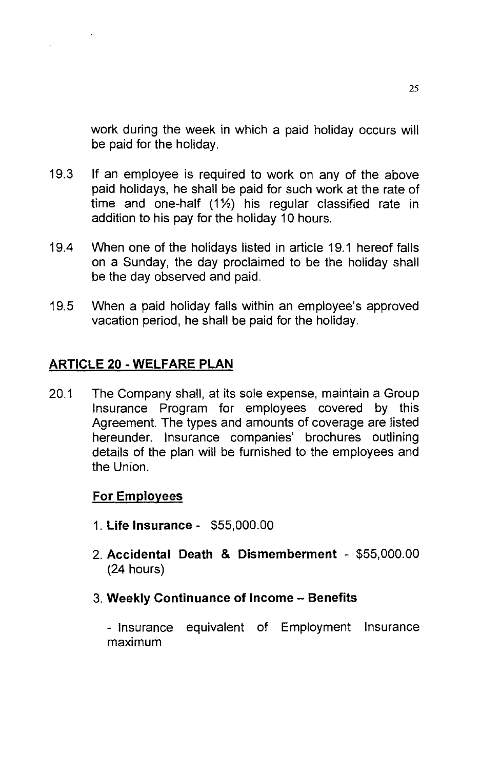work during the week in which a paid holiday occurs will be paid for the holiday.

- 19.3 If an employee is required to work on any of the above paid holidays, he shall be paid for such work at the rate of time and one-half  $(1\frac{1}{2})$  his regular classified rate in addition to his pay for the holiday 10 hours.
- 19.4 When one of the holidays listed in article 19.1 hereof falls on a Sunday, the day proclaimed to be the holiday shall be the day observed and paid.
- 19.5 When a paid holiday falls within an employee's approved vacation period, he shall be paid for the holiday.

## **ARTICLE 20 - WELFARE PLAN**

20.1 The Company shall, at its sole expense, maintain a Group Insurance Program for employees covered by this Agreement. The types and amounts of coverage are listed hereunder. Insurance companies' brochures outlining details of the plan will be furnished to the employees and the Union.

### **For Employees**

- 1. **Life Insurance**  \$55,000.00
- 2. **Accidental Death & Dismemberment**  \$55,000.00 (24 hours)
- 3. **Weekly Continuance of Income - Benefits**

- Insurance equivalent of Employment Insurance maximum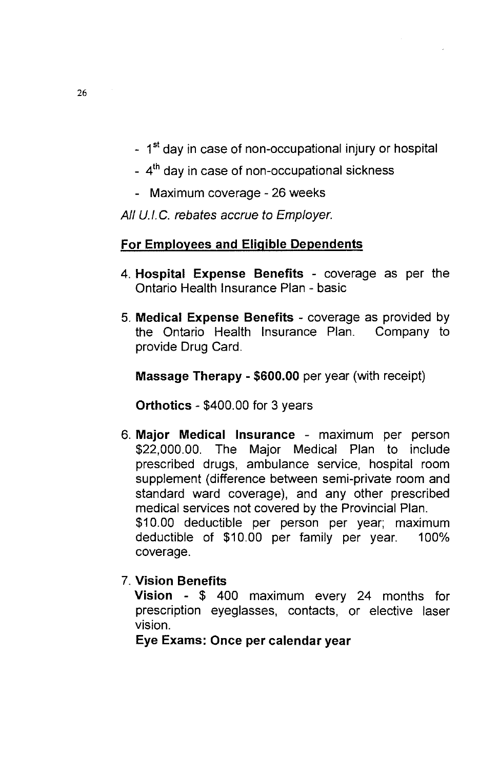- 1<sup>st</sup> day in case of non-occupational injury or hospital
- $-4<sup>th</sup>$  day in case of non-occupational sickness
- Maximum coverage 26 weeks

All U.I.C. rebates accrue to Employer.

### **For Employees and Eligible Dependents**

- 4. **Hospital Expense Benefits**  coverage as per the Ontario Health Insurance Plan - basic
- 5. **Medical Expense Benefits**  coverage as provided by the Ontario Health Insurance Plan. Company to provide Drug Card.

**Massage Therapy - \$600.00** per year (with receipt)

**Orthotics** - \$400.00 for 3 years

6. **Major Medical Insurance** - maximum per person \$22,000.00. The Major Medical Plan to include prescribed drugs, ambulance service, hospital room supplement (difference between semi-private room and standard ward coverage), and any other prescribed medical services not covered by the Provincial Plan. \$10.00 deductible per person per year; maximum deductible of \$10.00 per family per year. 100% coverage.

### 7. **Vision Benefits**

**Vision** - \$ 400 maximum every 24 months for prescription eyeglasses, contacts, or elective laser vision.

**Eye Exams: Once per calendar year**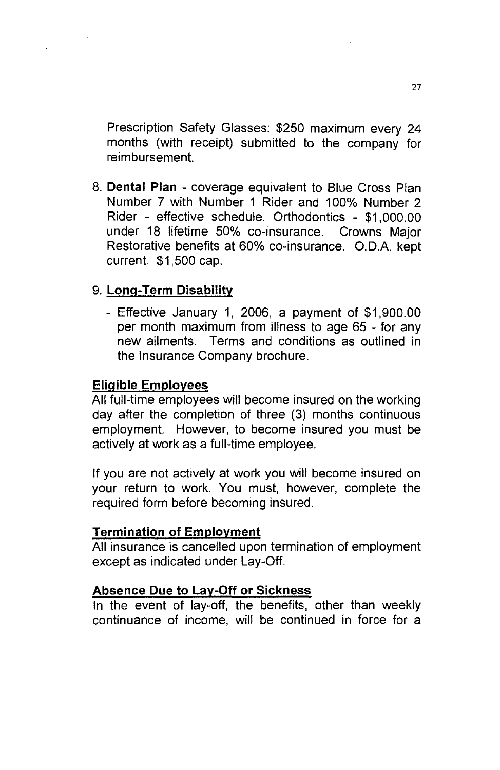Prescription Safety Glasses: \$250 maximum every 24 months (with receipt) submitted to the company for reimbursement.

8. **Dental Plan** - coverage equivalent to Blue Cross Plan Number 7 with Number 1 Rider and 100% Number 2 Rider - effective schedule. Orthodontics - \$1,000.00 under 18 lifetime 50% co-insurance. Crowns Major Restorative benefits at 60% co-insurance. O.D.A. kept current. \$1,500 cap.

### 9. **Long-Term Disability**

- Effective January 1, 2006, a payment of \$1,900.00 per month maximum from illness to age 65 - for any new ailments. Terms and conditions as outlined in the Insurance Company brochure.

#### **Eligible Employees**

All full-time employees will become insured on the working day after the completion of three (3) months continuous employment. However, to become insured you must be actively at work as a full-time employee.

If you are not actively at work you will become insured on your return to work. You must, however, complete the required form before becoming insured.

#### **Termination of Employment**

All insurance is cancelled upon termination of employment except as indicated under Lay-Off.

### **Absence Due to Lay-Off or Sickness**

In the event of lay-off, the benefits, other than weekly continuance of income, will be continued in force for a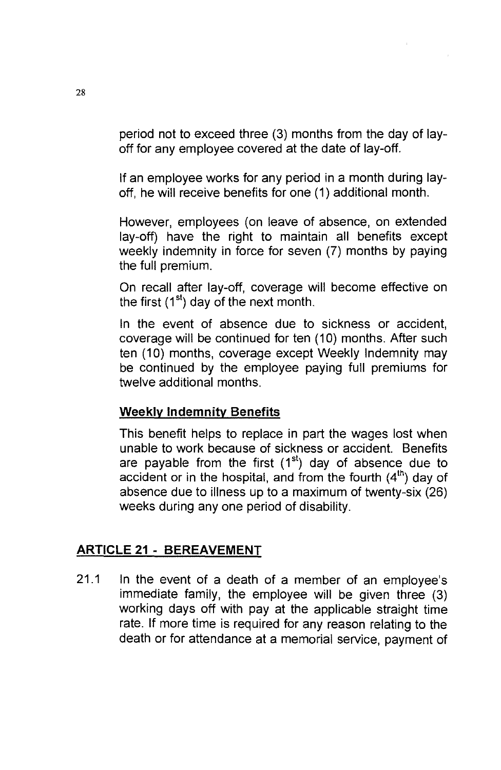period not to exceed three (3) months from the day of layoff for any employee covered at the date of lay-off.

If an employee works for any period in a month during layoff, he will receive benefits for one (1) additional month.

However, employees (on leave of absence, on extended lay-off) have the right to maintain all benefits except weekly indemnity in force for seven (7) months by paying the full premium.

On recall after lay-off, coverage will become effective on the first  $(1<sup>st</sup>)$  day of the next month.

In the event of absence due to sickness or accident, coverage will be continued for ten (10) months. After such ten (10) months, coverage except Weekly Indemnity may be continued by the employee paying full premiums for twelve additional months.

### **Weekly Indemnity Benefits**

This benefit helps to replace in part the wages lost when unable to work because of sickness or accident. Benefits are payable from the first  $(1<sup>st</sup>)$  day of absence due to accident or in the hospital, and from the fourth  $(4<sup>th</sup>)$  day of absence due to illness up to a maximum of twenty-six (26) weeks during any one period of disability.

## **ARTICLE 21 - BEREAVEMENT**

21.1 In the event of a death of a member of an employee's immediate family, the employee will be given three (3) working days off with pay at the applicable straight time rate. If more time is required for any reason relating to the death or for attendance at a memorial service, payment of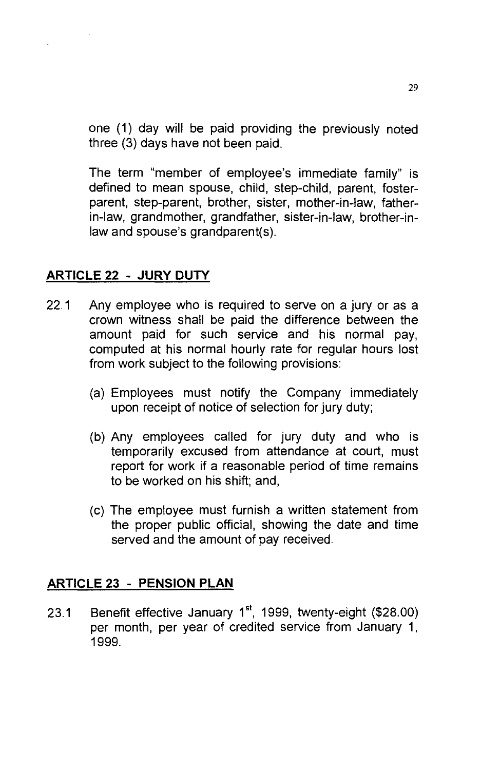one (1) day will be paid providing the previously noted three (3) days have not been paid.

The term "member of employee's immediate family" is defined to mean spouse, child, step-child, parent, fosterparent, step-parent, brother, sister, mother-in-law, fatherin-law, grandmother, grandfather, sister-in-law, brother-inlaw and spouse's grandparent(s).

### **ARTICLE 22** - **JURY DUTY**

- 22.1 Any employee who is required to serve on a jury or as a crown witness shall be paid the difference between the amount paid for such service and his normal pay, computed at his normal hourly rate for regular hours lost from work subject to the following provisions:
	- (a} Employees must notify the Company immediately upon receipt of notice of selection for jury duty;
	- (b) Any employees called for jury duty and who is temporarily excused from attendance at court, must report for work if a reasonable period of time remains to be worked on his shift; and,
	- (c) The employee must furnish a written statement from the proper public official, showing the date and time served and the amount of pay received.

## **ARTICLE 23** - **PENSION PLAN**

23.1 Benefit effective January 1st, 1999, twenty-eight (\$28.00) per month, per year of credited service from January 1, 1999.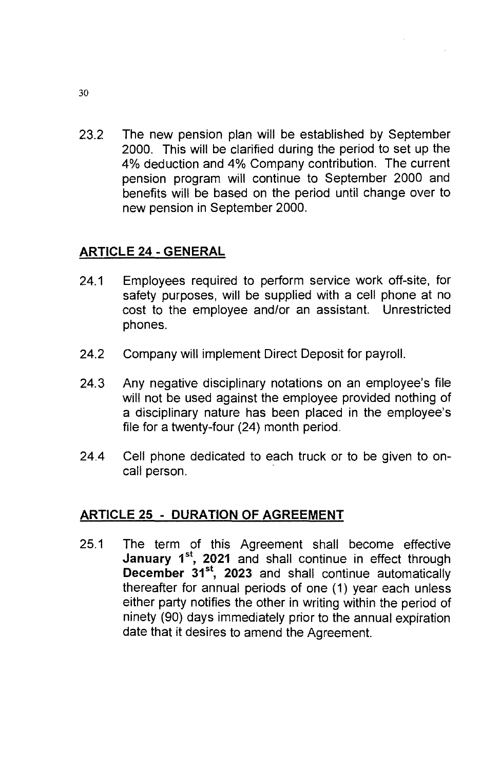23.2 The new pension plan will be established by September 2000. This will be clarified during the period to set up the 4% deduction and 4% Company contribution. The current pension program will continue to September 2000 and benefits will be based on the period until change over to new pension in September 2000.

## **ARTICLE 24 - GENERAL**

- 24.1 Employees required to perform service work off-site, for safety purposes, will be supplied with a cell phone at no cost to the employee and/or an assistant. Unrestricted phones.
- 24.2 Company will implement Direct Deposit for payroll.
- 24.3 Any negative disciplinary notations on an employee's file will not be used against the employee provided nothing of a disciplinary nature has been placed in the employee's file for a twenty-four (24) month period.
- 24.4 Cell phone dedicated to each truck or to be given to oncall person.

## **ARTICLE 25 - DURATION OF AGREEMENT**

25.1 The term of this Agreement shall become effective January 1<sup>st</sup>, 2021 and shall continue in effect through **December 31st, 2023** and shall continue automatically thereafter for annual periods of one (1) year each unless either party notifies the other in writing within the period of ninety (90) days immediately prior to the annual expiration date that it desires to amend the Agreement.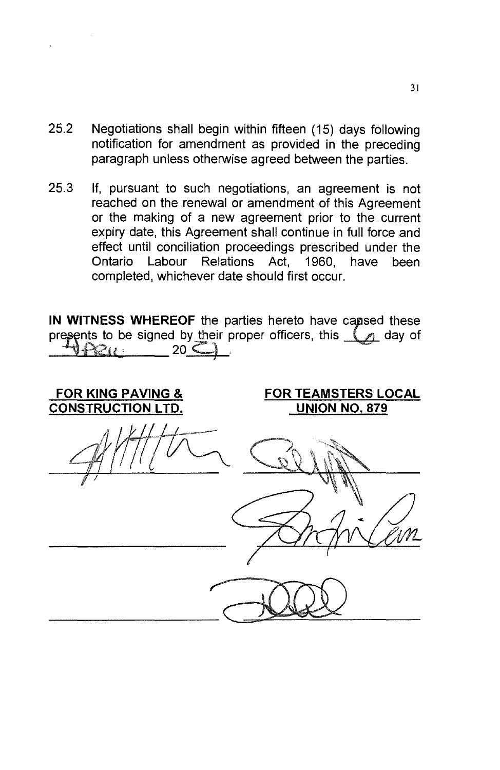- 25.2 Negotiations shall begin within fifteen (15) days following notification for amendment as provided in the preceding paragraph unless otherwise agreed between the parties.
- 25.3 If, pursuant to such negotiations, an agreement is not reached on the renewal or amendment of this Agreement or the making of a new agreement prior to the current expiry date, this Agreement shall continue in full force and effect until conciliation proceedings prescribed under the Ontario Labour Relations Act, 1960, have been completed, whichever date should first occur.

**IN WITNESS WHEREOF** the parties hereto have capsed these presents to be signed by their proper officers, this <u>(a</u> day of  $\sqrt{PQ}$ 

**FOR KING PAVING** & **CONSTRUCTION LTD.**  G PAVING & FOR TEAMST **FORTEAMSTERSLOCAL UNION NO. 879**  ~ effect until conciliation proceedings prescribed under the<br>
Ontario Labour Relations Act, 1960, have been<br>
completed, whichever date should first occur.<br>
IN WITNESS WHEREOF the parties hereto have capsed these<br>
presents to AMIL COLLAN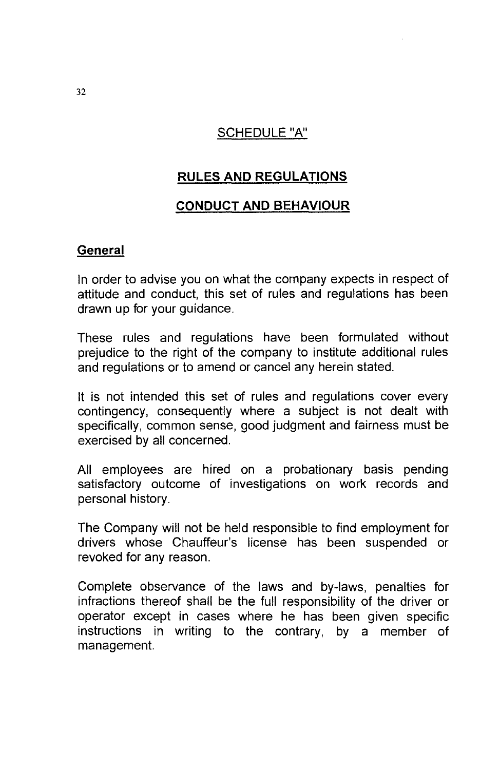## SCHEDULE "A"

## **RULES AND REGULATIONS**

### **CONDUCT AND BEHAVIOUR**

#### **General**

In order to advise you on what the company expects in respect of attitude and conduct, this set of rules and regulations has been drawn up for your guidance.

These rules and regulations have been formulated without prejudice to the right of the company to institute additional rules and regulations or to amend or cancel any herein stated.

It is not intended this set of rules and regulations cover every contingency, consequently where a subject is not dealt with specifically, common sense, good judgment and fairness must be exercised by all concerned.

All employees are hired on a probationary basis pending satisfactory outcome of investigations on work records and personal history.

The Company will not be held responsible to find employment for drivers whose Chauffeur's license has been suspended or revoked for any reason.

Complete observance of the laws and by-laws, penalties for infractions thereof shall be the full responsibility of the driver or operator except in cases where he has been given specific instructions in writing to the contrary, by a member of management.

32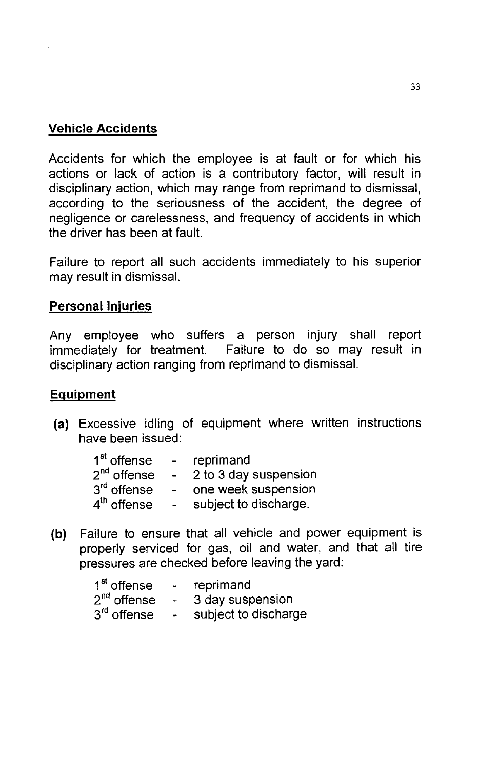### **Vehicle Accidents**

Accidents for which the employee is at fault or for which his actions or lack of action is a contributory factor, will result in disciplinary action, which may range from reprimand to dismissal, according to the seriousness of the accident, the degree of negligence or carelessness, and frequency of accidents in which the driver has been at fault.

Failure to report all such accidents immediately to his superior may result in dismissal.

### **Personal Injuries**

Any employee who suffers a person injury shall report immediately for treatment. Failure to do so may result in disciplinary action ranging from reprimand to dismissal.

### **Equipment**

**(a)** Excessive idling of equipment where written instructions have been issued:

| 1 <sup>st</sup> offense | $\sim$ | reprimand             |
|-------------------------|--------|-----------------------|
| 2 <sup>nd</sup> offense |        | 2 to 3 day suspension |
| 3 <sup>rd</sup> offense |        | one week suspension   |
| 4 <sup>th</sup> offense |        | subject to discharge. |

**(b)** Failure to ensure that all vehicle and power equipment is properly serviced for gas, oil and water, and that all tire pressures are checked before leaving the yard:

| 1 <sup>st</sup> offense | $\overline{\phantom{a}}$ | reprimand            |
|-------------------------|--------------------------|----------------------|
| 2 <sup>nd</sup> offense | $\frac{1}{2}$            | 3 day suspension     |
| 3 <sup>rd</sup> offense |                          | subject to discharge |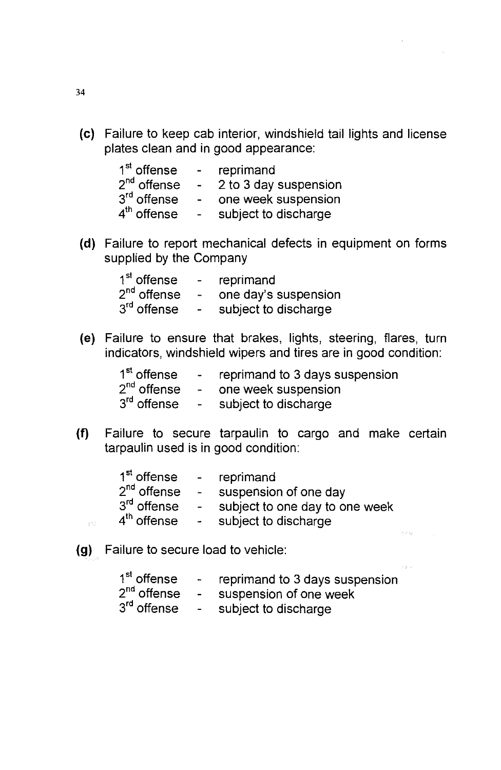**(c)** Failure to keep cab interior, windshield tail lights and license plates clean and in good appearance:

 $\sim 10^{-11}$ 

ake in the

 $\sim$  gives  $\sim$ 

| 1 <sup>st</sup> offense | $\overline{\phantom{a}}$ | reprimand             |
|-------------------------|--------------------------|-----------------------|
| 2 <sup>nd</sup> offense | $\sim$                   | 2 to 3 day suspension |
| 3 <sup>rd</sup> offense |                          | one week suspension   |
| 4 <sup>th</sup> offense | $\blacksquare$           | subject to discharge  |

**(d)** Failure to report mechanical defects in equipment on forms supplied by the Company

| 1 <sup>st</sup> offense | $\blacksquare$           | reprimand            |
|-------------------------|--------------------------|----------------------|
| $2nd$ offense           |                          | one day's suspension |
| 3 <sup>rd</sup> offense | $\overline{\phantom{a}}$ | subject to discharge |

**(e)** Failure to ensure that brakes, lights, steering, flares, turn indicators, windshield wipers and tires are in good condition:

| 1 <sup>st</sup> offense | $\sim$                   | reprimand to 3 days suspension |
|-------------------------|--------------------------|--------------------------------|
| 2 <sup>nd</sup> offense | $\sim$                   | one week suspension            |
| 3 <sup>rd</sup> offense | $\overline{\phantom{a}}$ | subject to discharge           |

**(f)** Failure to secure tarpaulin to cargo and make certain tarpaulin used is in good condition:

| 1 <sup>st</sup> offense |                       | - reprimand                    |
|-------------------------|-----------------------|--------------------------------|
| 2 <sup>nd</sup> offense | $\tilde{\phantom{a}}$ | suspension of one day          |
| 3 <sup>rd</sup> offense | $\sim$                | subject to one day to one week |
| 4 <sup>th</sup> offense | $\sim$                | subject to discharge           |

**(g)** Failure to secure load to vehicle:

ingers i

| 1 <sup>st</sup> offense | $\sim$          | reprimand to 3 days suspension |
|-------------------------|-----------------|--------------------------------|
| $2nd$ offense           | <b>Contract</b> | suspension of one week         |
| 3 <sup>rd</sup> offense | $\sim$          | subject to discharge           |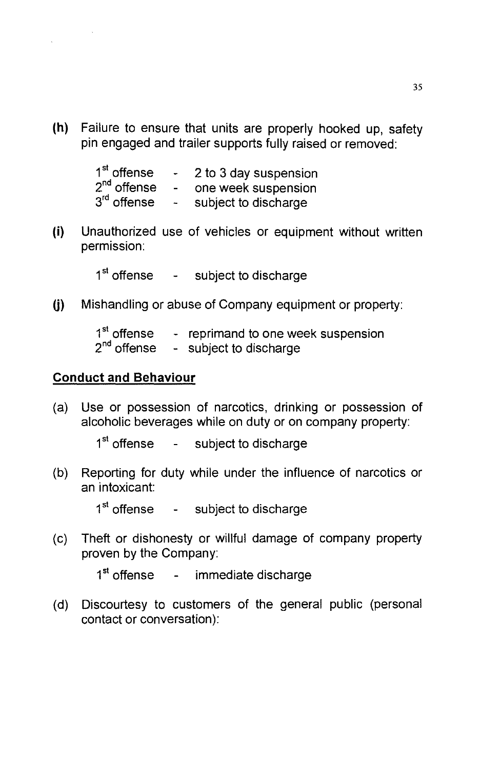**(h)** Failure to ensure that units are properly hooked up, safety pin engaged and trailer supports fully raised or removed:

| 1 <sup>st</sup> offense | $\tilde{\phantom{a}}$        | 2 to 3 day suspension |
|-------------------------|------------------------------|-----------------------|
| $2nd$ offense           |                              | one week suspension   |
| 3 <sup>rd</sup> offense | $\qquad \qquad \blacksquare$ | subject to discharge  |

(i) Unauthorized use of vehicles or equipment without written permission:

1<sup>st</sup> offense - subject to discharge

(j) Mishandling or abuse of Company equipment or property:

1<sup>st</sup> offense 2<sup>nd</sup> offense - subject to discharge - reprimand to one week suspension

#### **Conduct and Behaviour**

 $\sim$ 

t,

(a) Use or possession of narcotics, drinking or possession of alcoholic beverages while on duty or on company property:

1<sup>st</sup> offense - subject to discharge

(b) Reporting for duty while under the influence of narcotics or an intoxicant:

1<sup>st</sup> offense - subject to discharge

(c) Theft or dishonesty or willful damage of company property proven by the Company:

1<sup>st</sup> offense - immediate discharge

(d) Discourtesy to customers of the general public (personal contact or conversation):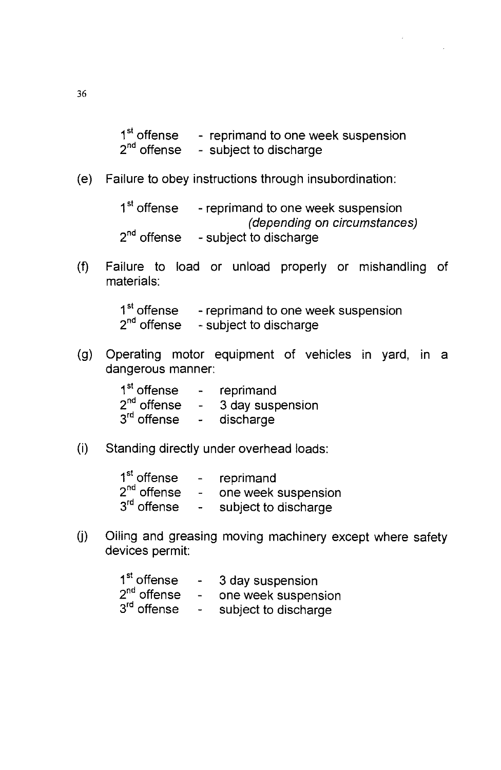1<sup>st</sup> offense - reprimand to one week suspension 2<sup>nd</sup> offense - subject to discharge

(e) Failure to obey instructions through insubordination:

1<sup>st</sup> offense - reprimand to one week suspension (depending on circumstances) 2<sup>nd</sup> offense - subject to discharge

(f) Failure to load or unload properly or mishandling of materials:

> 1<sup>st</sup> offense - reprimand to one week suspension 2<sup>nd</sup> offense - subject to discharge

(g) Operating motor equipment of vehicles in yard, in a dangerous manner:

| 1 <sup>st</sup> offense | $\blacksquare$           | reprimand        |
|-------------------------|--------------------------|------------------|
| 2 <sup>nd</sup> offense | $\blacksquare$           | 3 day suspension |
| 3 <sup>rd</sup> offense | $\overline{\phantom{a}}$ | discharge        |

(i) Standing directly under overhead loads:

| 1 <sup>st</sup> offense | $\blacksquare$           | reprimand            |
|-------------------------|--------------------------|----------------------|
| $2nd$ offense           | $\overline{\phantom{a}}$ | one week suspension  |
| 3 <sup>rd</sup> offense | $\blacksquare$           | subject to discharge |

(j) Oiling and greasing moving machinery except where safety devices permit:

| 1 <sup>st</sup> offense | $\blacksquare$ | 3 day suspension     |
|-------------------------|----------------|----------------------|
| $2nd$ offense           | $\blacksquare$ | one week suspension  |
| 3 <sup>rd</sup> offense | -              | subject to discharge |

36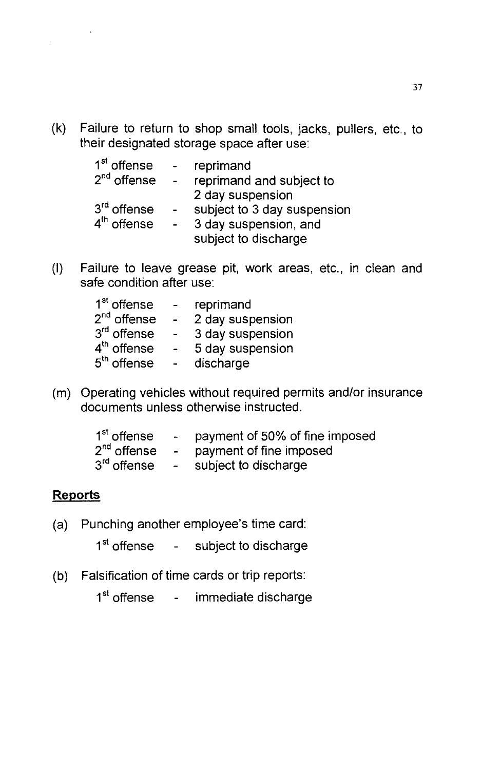(k) Failure to return to shop small tools, jacks, pullers, etc., to their designated storage space after use:

| 1 <sup>st</sup> offense |        | reprimand                   |
|-------------------------|--------|-----------------------------|
| 2 <sup>nd</sup> offense | $\sim$ | reprimand and subject to    |
|                         |        | 2 day suspension            |
| 3 <sup>rd</sup> offense |        | subject to 3 day suspension |
| 4 <sup>th</sup> offense | $\sim$ | 3 day suspension, and       |
|                         |        | subject to discharge        |

(I) Failure to leave grease pit, work areas, etc., in clean and safe condition after use:

| 1 <sup>st</sup> offense | $\blacksquare$               | reprimand        |
|-------------------------|------------------------------|------------------|
| 2 <sup>nd</sup> offense | $\blacksquare$               | 2 day suspension |
| 3 <sup>rd</sup> offense | $\blacksquare$               | 3 day suspension |
| 4 <sup>th</sup> offense | $\qquad \qquad \blacksquare$ | 5 day suspension |
| 5 <sup>th</sup> offense | $\overline{\phantom{0}}$     | discharge        |

(m) Operating vehicles without required permits and/or insurance documents unless otherwise instructed.

| 1 <sup>st</sup> offense | $\sim$               | payment of 50% of fine imposed |
|-------------------------|----------------------|--------------------------------|
| $2nd$ offense           | $\sim 100$ m $^{-1}$ | payment of fine imposed        |
| 3 <sup>rd</sup> offense | $\sim$               | subject to discharge           |

### **Reports**

 $\label{eq:2.1} \frac{1}{\sqrt{2}}\int_{0}^{\infty}\frac{dx}{\sqrt{2\pi}}\,dx$  $\mathcal{L}$ 

- (a) Punching another employee's time card:
	- 1st offense subject to discharge
- (b) Falsification of time cards or trip reports:

1<sup>st</sup> offense - immediate discharge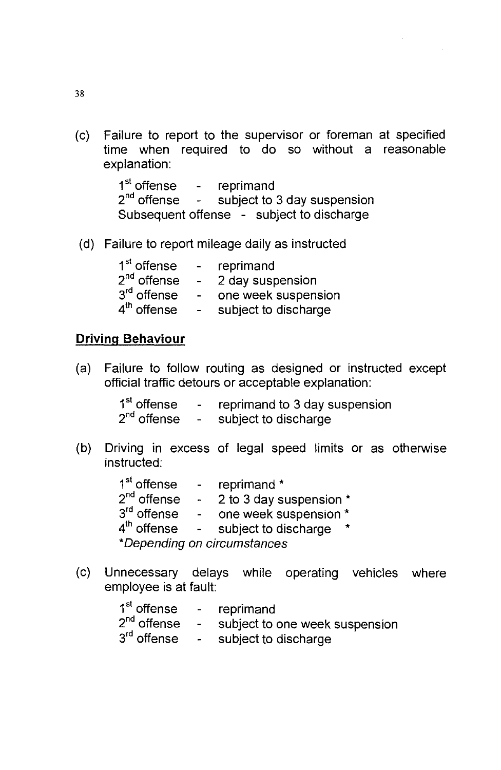(c) Failure to report to the supervisor or foreman at specified time when required to do so without a reasonable explanation:

> 1<sup>st</sup> offense - reprimand  $2<sup>nd</sup>$  offense - subject to 3 day suspension Subsequent offense - subject to discharge

(d) Failure to report mileage daily as instructed

| $\sim$         | reprimand            |
|----------------|----------------------|
| $\sim$         | 2 day suspension     |
|                | one week suspension  |
| $\blacksquare$ | subject to discharge |
|                |                      |

### **Driving Behaviour**

(a) Failure to follow routing as designed or instructed except official traffic detours or acceptable explanation:

| 1 <sup>st</sup> offense | $\blacksquare$ | reprimand to 3 day suspension |
|-------------------------|----------------|-------------------------------|
| $2nd$ offense           | $\,$           | subject to discharge          |

(b) Driving in excess of legal speed limits or as otherwise instructed:

| 1 <sup>st</sup> offense |                | reprimand *                 |
|-------------------------|----------------|-----------------------------|
| $2nd$ offense           | $\overline{a}$ | 2 to 3 day suspension *     |
| 3 <sup>rd</sup> offense |                | one week suspension *       |
| 4 <sup>th</sup> offense | $\blacksquare$ | subject to discharge        |
|                         |                | *Depending on circumstances |

(c) Unnecessary delays while operating vehicles where employee is at fault:

| 1 <sup>st</sup> offense | $\sim$            | reprimand                      |
|-------------------------|-------------------|--------------------------------|
| $2nd$ offense           | $\sim$            | subject to one week suspension |
| 3 <sup>rd</sup> offense | $\sim$ 100 $\sim$ | subject to discharge           |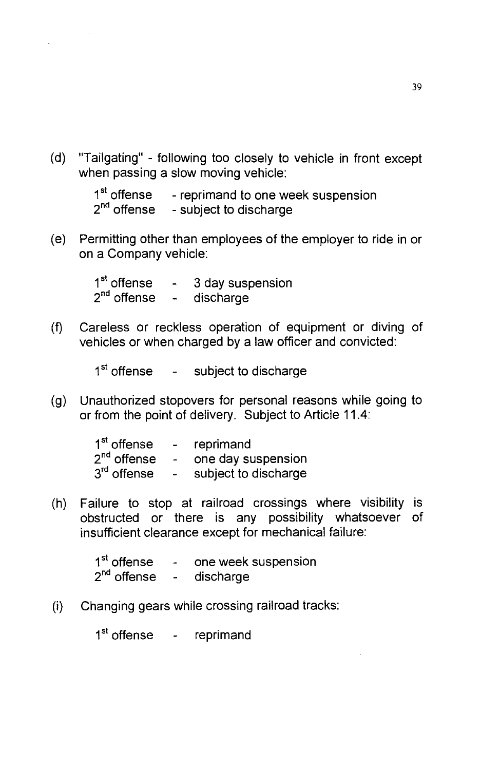(d) "Tailgating" - following too closely to vehicle in front except when passing a slow moving vehicle:

> 1<sup>st</sup> offense - reprimand to one week suspension 2<sup>nd</sup> offense - subject to discharge

(e) Permitting other than employees of the employer to ride in or on a Company vehicle:

> 1<sup>st</sup> offense - 3 day suspension **2nd Offense**  discharge

(f) Careless or reckless operation of equipment or diving of vehicles or when charged by a law officer and convicted:

 $1<sup>st</sup>$  offense - subject to discharge

(g) Unauthorized stopovers for personal reasons while going to or from the point of delivery. Subject to Article 11.4:

| 1 <sup>st</sup> offense | $\overline{\phantom{a}}$ | reprimand            |
|-------------------------|--------------------------|----------------------|
| 2 <sup>nd</sup> offense | $\blacksquare$           | one day suspension   |
| 3 <sup>rd</sup> offense | $\tilde{\phantom{a}}$    | subject to discharge |

(h) Failure to stop at railroad crossings where visibility is obstructed or there is any possibility whatsoever of insufficient clearance except for mechanical failure:

| 1 <sup>st</sup> offense |   | one week suspension |
|-------------------------|---|---------------------|
| 2 <sup>nd</sup> offense | - | discharge           |

(i) Changing gears while crossing railroad tracks:

1<sup>st</sup> offense - reprimand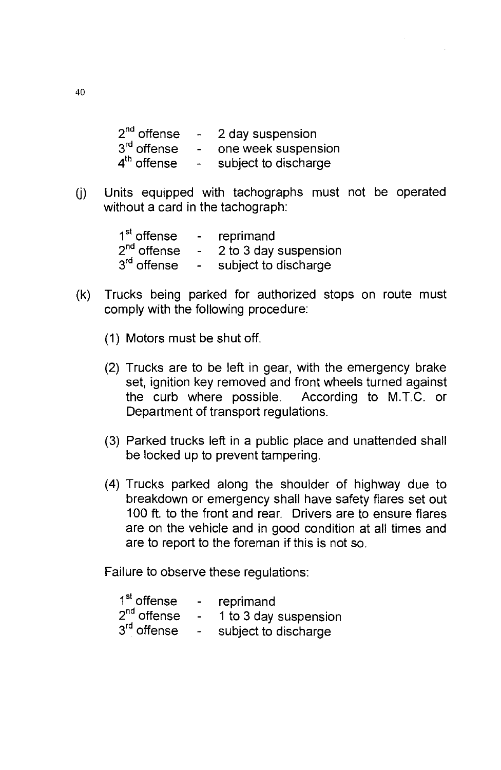| $2nd$ offense           | $\sim$         | 2 day suspension     |
|-------------------------|----------------|----------------------|
| 3 <sup>rd</sup> offense | $\blacksquare$ | one week suspension  |
| 4 <sup>th</sup> offense | ۰              | subject to discharge |

U) Units equipped with tachographs must not be operated without a card in the tachograph:

| 1 <sup>st</sup> offense | $\sim$ 10 $\pm$ | reprimand             |
|-------------------------|-----------------|-----------------------|
| 2 <sup>nd</sup> offense | $\sim$          | 2 to 3 day suspension |
| 3 <sup>rd</sup> offense | $\sim$          | subject to discharge  |

- (k) Trucks being parked for authorized stops on route must comply with the following procedure:
	- (1) Motors must be shut off.
	- (2) Trucks are to be left in gear, with the emergency brake set, ignition key removed and front wheels turned against the curb where possible. According to M.T.C. or Department of transport regulations.
	- (3) Parked trucks left in a public place and unattended shall be locked up to prevent tampering.
	- (4) Trucks parked along the shoulder of highway due to breakdown or emergency shall have safety flares set out 100 ft. to the front and rear. Drivers are to ensure flares are on the vehicle and in good condition at all times and are to report to the foreman if this is not so.

Failure to observe these regulations:

| 1 <sup>st</sup> offense | $\sim$ | reprimand             |
|-------------------------|--------|-----------------------|
| $2nd$ offense           | $\sim$ | 1 to 3 day suspension |
| 3 <sup>rd</sup> offense |        | subject to discharge  |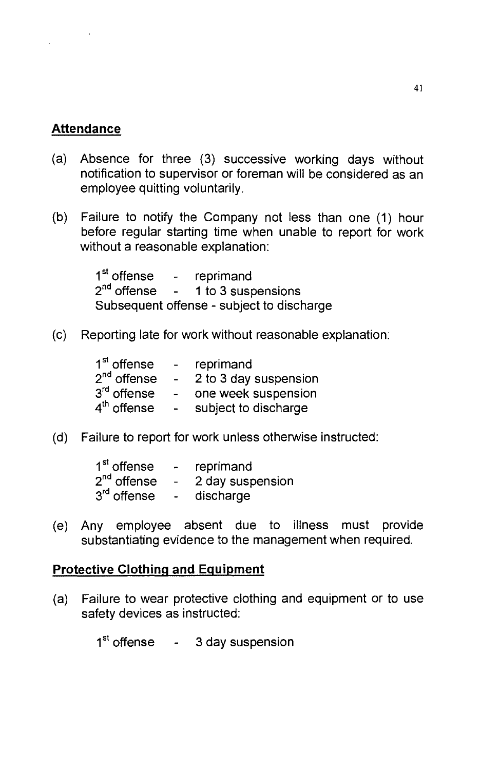#### **Attendance**

- (a) Absence for three (3) successive working days without notification to supervisor or foreman will be considered as an employee quitting voluntarily.
- (b) Failure to notify the Company not less than one ( 1) hour before regular starting time when unable to report for work without a reasonable explanation:

1<sup>st</sup> offense - reprimand  $2<sup>nd</sup>$  offense  $-1$  to 3 suspensions Subsequent offense - subject to discharge

(c) Reporting late for work without reasonable explanation:

| $\sim$                   | reprimand             |
|--------------------------|-----------------------|
| $\overline{\phantom{a}}$ | 2 to 3 day suspension |
| $\overline{\phantom{0}}$ | one week suspension   |
| $\blacksquare$           | subject to discharge  |
|                          |                       |

(d) Failure to report for work unless otherwise instructed:

| 1 <sup>st</sup> offense | $\overline{\phantom{a}}$ | reprimand        |
|-------------------------|--------------------------|------------------|
| 2 <sup>nd</sup> offense | $\overline{\phantom{a}}$ | 2 day suspension |
| 3 <sup>rd</sup> offense | $\ddot{\phantom{1}}$     | discharge        |

(e) Any employee absent due to illness must provide substantiating evidence to the management when required.

#### **Protective Clothing and Equipment**

(a) Failure to wear protective clothing and equipment or to use safety devices as instructed:

 $1<sup>st</sup>$  offense  $-3$  day suspension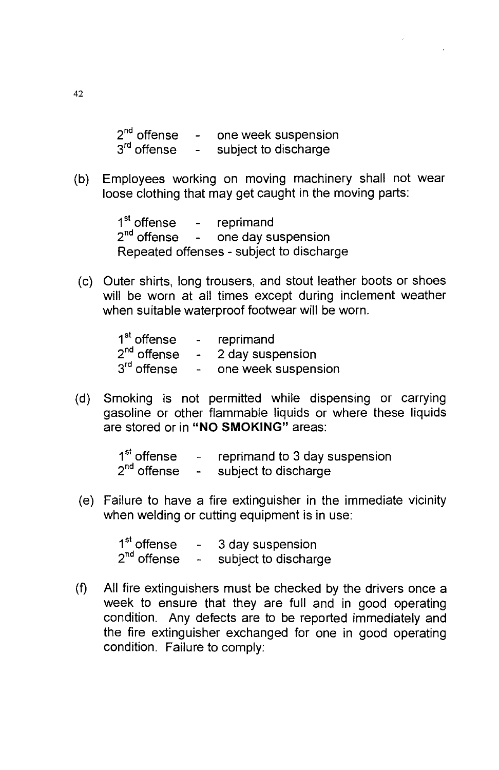| $2nd$ offense           | one week suspension  |
|-------------------------|----------------------|
| 3 <sup>rd</sup> offense | subject to discharge |

(b) Employees working on moving machinery shall not wear loose clothing that may get caught in the moving parts:

> 1<sup>st</sup> offense - reprimand  $2^{nd}$  offense - one day suspension Repeated offenses - subject to discharge

(c) Outer shirts, long trousers, and stout leather boots or shoes will be worn at all times except during inclement weather when suitable waterproof footwear will be worn.

| 1 <sup>st</sup> offense | $\blacksquare$ | reprimand           |
|-------------------------|----------------|---------------------|
| 2 <sup>nd</sup> offense | $\bullet$      | 2 day suspension    |
| 3 <sup>rd</sup> offense | $\blacksquare$ | one week suspension |

(d) Smoking is not permitted while dispensing or carrying gasoline or other flammable liquids or where these liquids are stored or in **"NO SMOKING"** areas:

> 1<sup>st</sup> offense - reprimand to 3 day suspension 2<sup>nd</sup> offense - subject to discharge

(e) Failure to have a fire extinguisher in the immediate vicinity when welding or cutting equipment is in use:

| 1 <sup>st</sup> offense | - | 3 day suspension     |
|-------------------------|---|----------------------|
| 2 <sup>nd</sup> offense |   | subject to discharge |

(f) All fire extinguishers must be checked by the drivers once a week to ensure that they are full and in good operating condition. Any defects are to be reported immediately and the fire extinguisher exchanged for one in good operating condition. Failure to comply: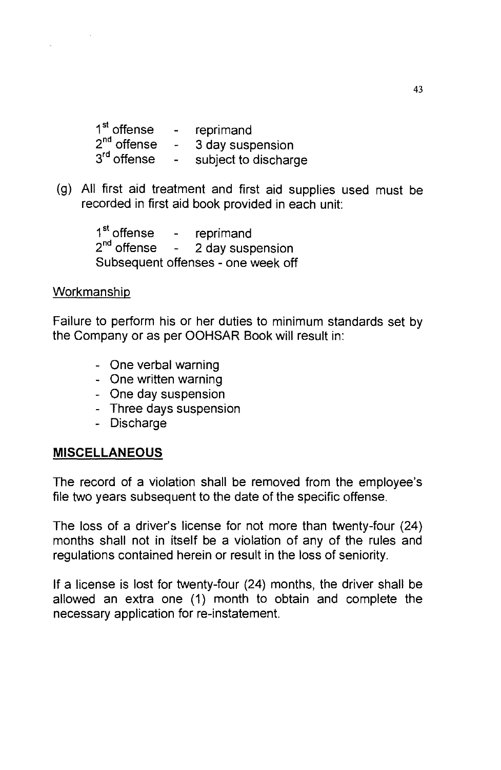| 1 <sup>st</sup> offense | $\qquad \qquad \blacksquare$ | reprimand            |
|-------------------------|------------------------------|----------------------|
| 2 <sup>nd</sup> offense | $\sim$                       | 3 day suspension     |
| 3 <sup>rd</sup> offense | $\blacksquare$               | subject to discharge |

(g) All first aid treatment and first aid supplies used must be recorded in first aid book provided in each unit:

> $1^{\text{st}}$  offense - reprimand<br> $2^{\text{nd}}$  offense - 2 dav susr 2 day suspension Subsequent offenses - one week off

#### Workmanship

Failure to perform his or her duties to minimum standards set by the Company or as per OOHSAR Book will result in:

- One verbal warning
- One written warning
- One day suspension
- Three days suspension
- Discharge

### **MISCELLANEOUS**

The record of a violation shall be removed from the employee's file two years subsequent to the date of the specific offense.

The loss of a driver's license for not more than twenty-four (24) months shall not in itself be a violation of any of the rules and regulations contained herein or result in the loss of seniority.

If a license is lost for twenty-four (24) months, the driver shall be allowed an extra one (1) month to obtain and complete the necessary application for re-instatement.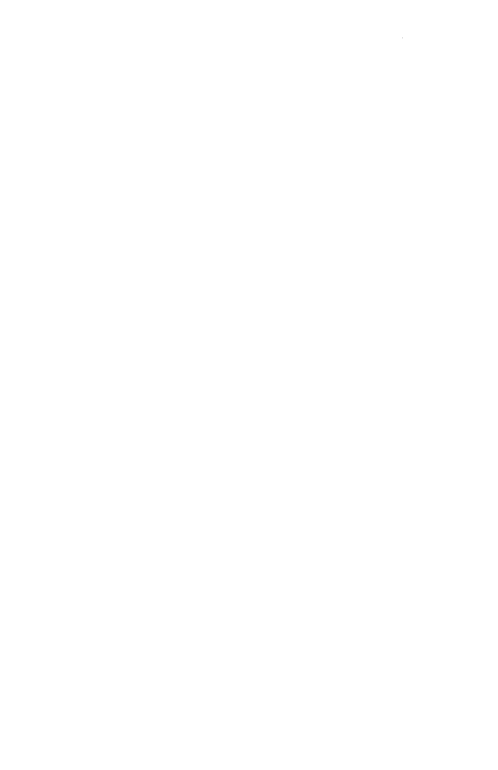$\label{eq:2} \begin{split} \mathcal{L}_{\text{max}}(\mathbf{r}) = \mathcal{L}_{\text{max}}(\mathbf{r}) \,, \end{split}$